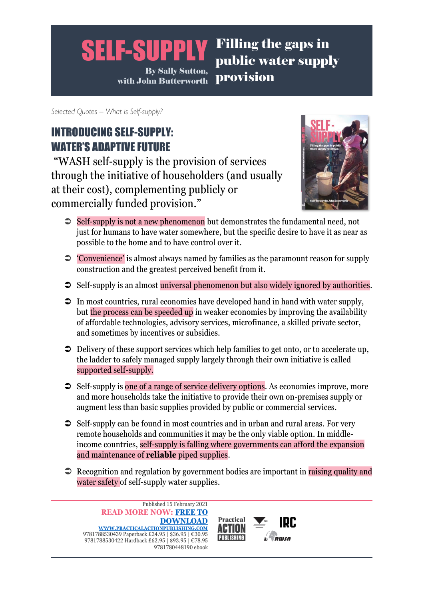*Selected Quotes – What is Self-supply?*

# INTRODUCING SELF-SUPPLY: WATER'S ADAPTIVE FUTURE

"WASH self-supply is the provision of services through the initiative of householders (and usually at their cost), complementing publicly or commercially funded provision."



- $\supset$  Self-supply is not a new phenomenon but demonstrates the fundamental need, not just for humans to have water somewhere, but the specific desire to have it as near as possible to the home and to have control over it.
- 'Convenience' is almost always named by families as the paramount reason for supply construction and the greatest perceived benefit from it.
- $\supset$  Self-supply is an almost universal phenomenon but also widely ignored by authorities.
- $\supset$  In most countries, rural economies have developed hand in hand with water supply, but the process can be speeded up in weaker economies by improving the availability of affordable technologies, advisory services, microfinance, a skilled private sector, and sometimes by incentives or subsidies.
- $\supset$  Delivery of these support services which help families to get onto, or to accelerate up, the ladder to safely managed supply largely through their own initiative is called supported self-supply.
- $\supset$  Self-supply is one of a range of service delivery options. As economies improve, more and more households take the initiative to provide their own on-premises supply or augment less than basic supplies provided by public or commercial services.
- $\supset$  Self-supply can be found in most countries and in urban and rural areas. For very remote households and communities it may be the only viable option. In middleincome countries, self-supply is falling where governments can afford the expansion and maintenance of **reliable** piped supplies.
- $\Rightarrow$  Recognition and regulation by government bodies are important in raising quality and water safety of self-supply water supplies.



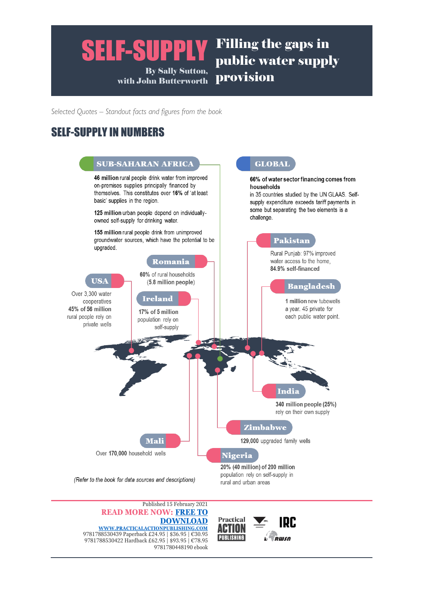*Selected Quotes – Standout facts and figures from the book*

## SELF-SUPPLY IN NUMBERS



**Practical** 

ш **PUBLISHING**  **IRC** 

RWSN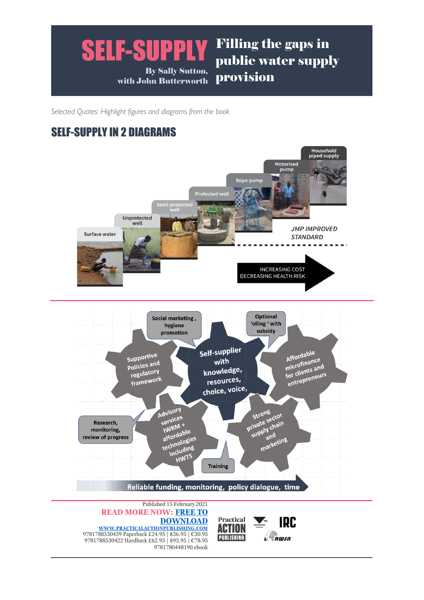*Selected Quotes: Highlight figures and diagrams from the book*

## SELF-SUPPLY IN 2 DIAGRAMS



**Practical** 

**ACTION PUBLISHING**  **IRC** 

**RWSN**  $\blacktriangle$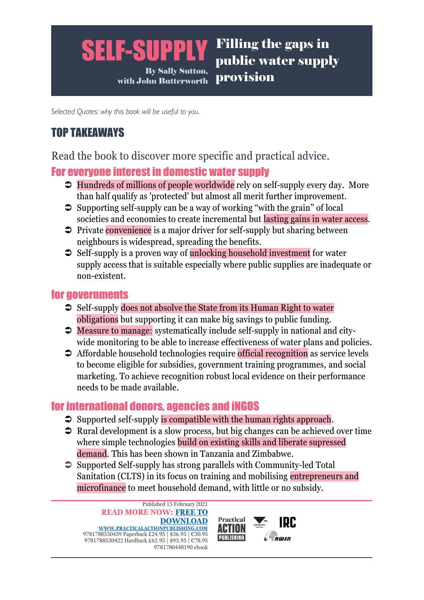### SELF-SUPPLY Filling the gaps in public water supply

By Sally Sutton, with John Butterworth provision

*Selected Quotes: why this book will be useful to you.*

# TOP TAKEAWAYS

Read the book to discover more specific and practical advice.

## For everyone interest in domestic water supply

- $\supset$  Hundreds of millions of people worldwide rely on self-supply every day. More than half qualify as 'protected' but almost all merit further improvement.
- $\supset$  Supporting self-supply can be a way of working "with the grain" of local societies and economies to create incremental but lasting gains in water access.
- $\supset$  Private convenience is a major driver for self-supply but sharing between neighbours is widespread, spreading the benefits.
- $\supset$  Self-supply is a proven way of unlocking household investment for water supply access that is suitable especially where public supplies are inadequate or non-existent.

## for governments

- $\supset$  Self-supply does not absolve the State from its Human Right to water obligations but supporting it can make big savings to public funding.
- Measure to manage: systematically include self-supply in national and citywide monitoring to be able to increase effectiveness of water plans and policies.
- **→** Affordable household technologies require official recognition as service levels to become eligible for subsidies, government training programmes, and social marketing. To achieve recognition robust local evidence on their performance needs to be made available.

## for international donors, agencies and iNGOS

- $\supset$  Supported self-supply is compatible with the human rights approach.
- $\supset$  Rural development is a slow process, but big changes can be achieved over time where simple technologies build on existing skills and liberate supressed demand. This has been shown in Tanzania and Zimbabwe.
- $\supset$  Supported Self-supply has strong parallels with Community-led Total Sanitation (CLTS) in its focus on training and mobilising entrepreneurs and microfinance to meet household demand, with little or no subsidy.



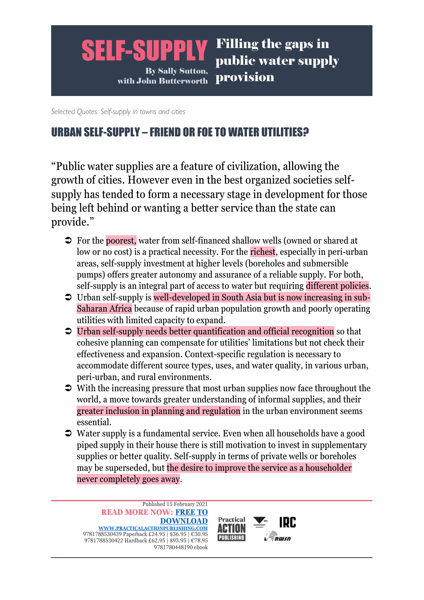*Selected Quotes: Self-supply in towns and cities*

## URBAN SELF-SUPPLY – FRIEND OR FOE TO WATER UTILITIES?

"Public water supplies are a feature of civilization, allowing the growth of cities. However even in the best organized societies selfsupply has tended to form a necessary stage in development for those being left behind or wanting a better service than the state can provide."

- For the poorest, water from self-financed shallow wells (owned or shared at low or no cost) is a practical necessity. For the richest, especially in peri-urban areas, self-supply investment at higher levels (boreholes and submersible pumps) offers greater autonomy and assurance of a reliable supply. For both, self-supply is an integral part of access to water but requiring different policies.
- Urban self-supply is well-developed in South Asia but is now increasing in sub-Saharan Africa because of rapid urban population growth and poorly operating utilities with limited capacity to expand.
- Urban self-supply needs better quantification and official recognition so that cohesive planning can compensate for utilities' limitations but not check their effectiveness and expansion. Context-specific regulation is necessary to accommodate different source types, uses, and water quality, in various urban, peri-urban, and rural environments.
- $\supset$  With the increasing pressure that most urban supplies now face throughout the world, a move towards greater understanding of informal supplies, and their greater inclusion in planning and regulation in the urban environment seems essential.
- Water supply is a fundamental service. Even when all households have a good piped supply in their house there is still motivation to invest in supplementary supplies or better quality. Self-supply in terms of private wells or boreholes may be superseded, but the desire to improve the service as a householder never completely goes away.

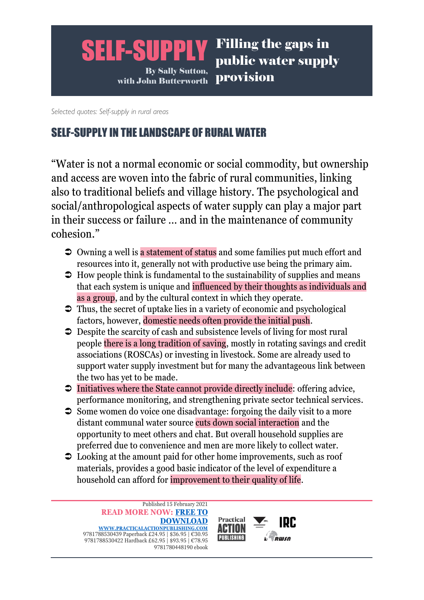*Selected quotes: Self-supply in rural areas*

## SELF-SUPPLY IN THE LANDSCAPE OF RURAL WATER

"Water is not a normal economic or social commodity, but ownership and access are woven into the fabric of rural communities, linking also to traditional beliefs and village history. The psychological and social/anthropological aspects of water supply can play a major part in their success or failure … and in the maintenance of community cohesion"

- Owning a well is a statement of status and some families put much effort and resources into it, generally not with productive use being the primary aim.
- $\supset$  How people think is fundamental to the sustainability of supplies and means that each system is unique and influenced by their thoughts as individuals and as a group, and by the cultural context in which they operate.
- $\supset$  Thus, the secret of uptake lies in a variety of economic and psychological factors, however, domestic needs often provide the initial push.
- $\supset$  Despite the scarcity of cash and subsistence levels of living for most rural people there is a long tradition of saving, mostly in rotating savings and credit associations (ROSCAs) or investing in livestock. Some are already used to support water supply investment but for many the advantageous link between the two has yet to be made.
- $\supset$  Initiatives where the State cannot provide directly include: offering advice, performance monitoring, and strengthening private sector technical services.
- $\supset$  Some women do voice one disadvantage: forgoing the daily visit to a more distant communal water source cuts down social interaction and the opportunity to meet others and chat. But overall household supplies are preferred due to convenience and men are more likely to collect water.
- $\supset$  Looking at the amount paid for other home improvements, such as roof materials, provides a good basic indicator of the level of expenditure a household can afford for improvement to their quality of life.

Published 15 February 2021 **READ MORE NOW: [FREE TO](https://practicalactionpublishing.com/book/2530/self-supply)  [DOWNLOAD](https://practicalactionpublishing.com/book/2530/self-supply)  [WWW.PRACTICALACTIONPUBLISHING.COM](https://practicalactionpublishing.com/book/2530/self-supply)** 9781788530439 Paperback £24.95 | \$36.95 | €30.95 9781788530422 Hardback £62.95 | \$93.95 | €78.95 9781780448190 ebook



IDC.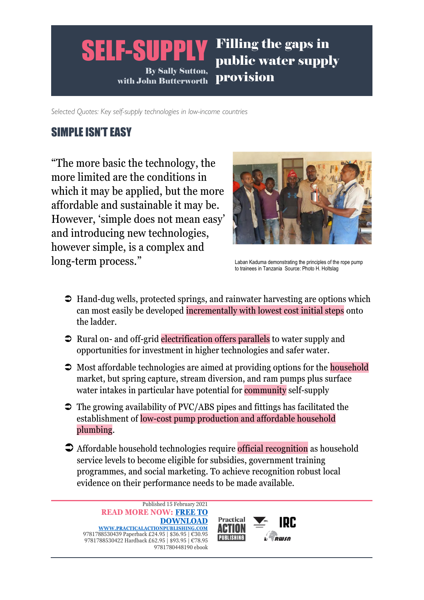*Selected Quotes: Key self-supply technologies in low-income countries*

## SIMPLE ISN'T EASY

"The more basic the technology, the more limited are the conditions in which it may be applied, but the more affordable and sustainable it may be. However, 'simple does not mean easy' and introducing new technologies, however simple, is a complex and long-term process."



Laban Kaduma demonstrating the principles of the rope pump to trainees in Tanzania Source: Photo H. Holtslag

- $\supset$  Hand-dug wells, protected springs, and rainwater harvesting are options which can most easily be developed incrementally with lowest cost initial steps onto the ladder.
- $\supset$  Rural on- and off-grid electrification offers parallels to water supply and opportunities for investment in higher technologies and safer water.
- $\supset$  Most affordable technologies are aimed at providing options for the household market, but spring capture, stream diversion, and ram pumps plus surface water intakes in particular have potential for community self-supply
- $\supset$  The growing availability of PVC/ABS pipes and fittings has facilitated the establishment of low-cost pump production and affordable household plumbing.
- Affordable household technologies require official recognition as household service levels to become eligible for subsidies, government training programmes, and social marketing. To achieve recognition robust local evidence on their performance needs to be made available.